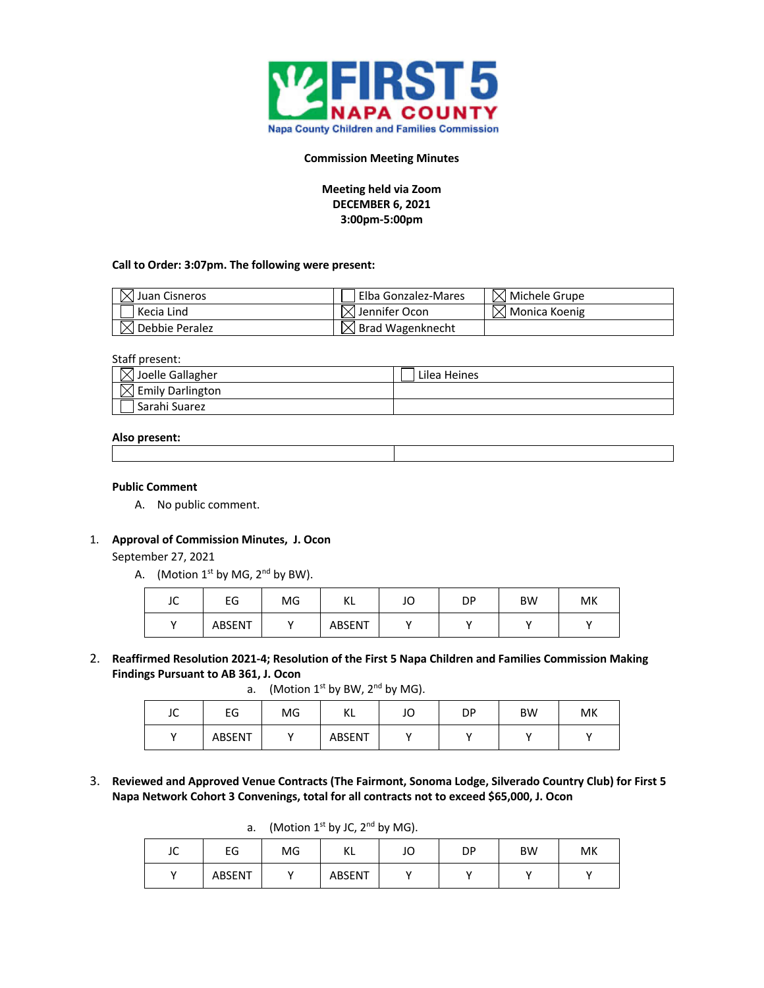

#### **Commission Meeting Minutes**

**Meeting held via Zoom DECEMBER 6, 2021 3:00pm-5:00pm**

### **Call to Order: 3:07pm. The following were present:**

| $\mathbb{X}$ Juan Cisneros | Elba Gonzalez-Mares              | $\boxtimes$ Michele Grupe          |
|----------------------------|----------------------------------|------------------------------------|
| Kecia Lind                 | $\vert\angle\vert$ Jennifer Ocon | $\vert \times \vert$ Monica Koenig |
| (I Debbie Peralez          | Brad Wagenknecht                 |                                    |

#### Staff present:

| $\bowtie$ Joelle Gallagher   | Lilea Heines |
|------------------------------|--------------|
| $\boxtimes$ Emily Darlington |              |
| Sarahi Suarez                |              |

#### **Also present:**

### **Public Comment**

A. No public comment.

#### 1. **Approval of Commission Minutes, J. Ocon**

September 27, 2021

A. (Motion  $1^{st}$  by MG,  $2^{nd}$  by BW).

| $\sim$<br>JU | EG     | MG | VI.<br>NL     | JO | DP | <b>BW</b> | MK |
|--------------|--------|----|---------------|----|----|-----------|----|
|              | ABSENT |    | <b>ABSENT</b> |    |    |           |    |

2. **Reaffirmed Resolution 2021-4; Resolution of the First 5 Napa Children and Families Commission Making Findings Pursuant to AB 361, J. Ocon** 

a. (Motion  $1^{st}$  by BW,  $2^{nd}$  by MG).

| $\sim$<br>JU | EG            | MG | $\mathcal{U}$<br>NL. | JO | DΡ | <b>BW</b> | МK |
|--------------|---------------|----|----------------------|----|----|-----------|----|
|              | <b>ABSENT</b> |    | ABSENT               |    |    |           |    |

3. **Reviewed and Approved Venue Contracts (The Fairmont, Sonoma Lodge, Silverado Country Club) for First 5 Napa Network Cohort 3 Convenings, total for all contracts not to exceed \$65,000, J. Ocon**

a. (Motion  $1^{st}$  by JC,  $2^{nd}$  by MG).

| JC  | EG     | MG | I/I<br>NL. | JO | DP | <b>BW</b> | МK |
|-----|--------|----|------------|----|----|-----------|----|
| . . | ABSENT |    | ABSENT     |    |    |           |    |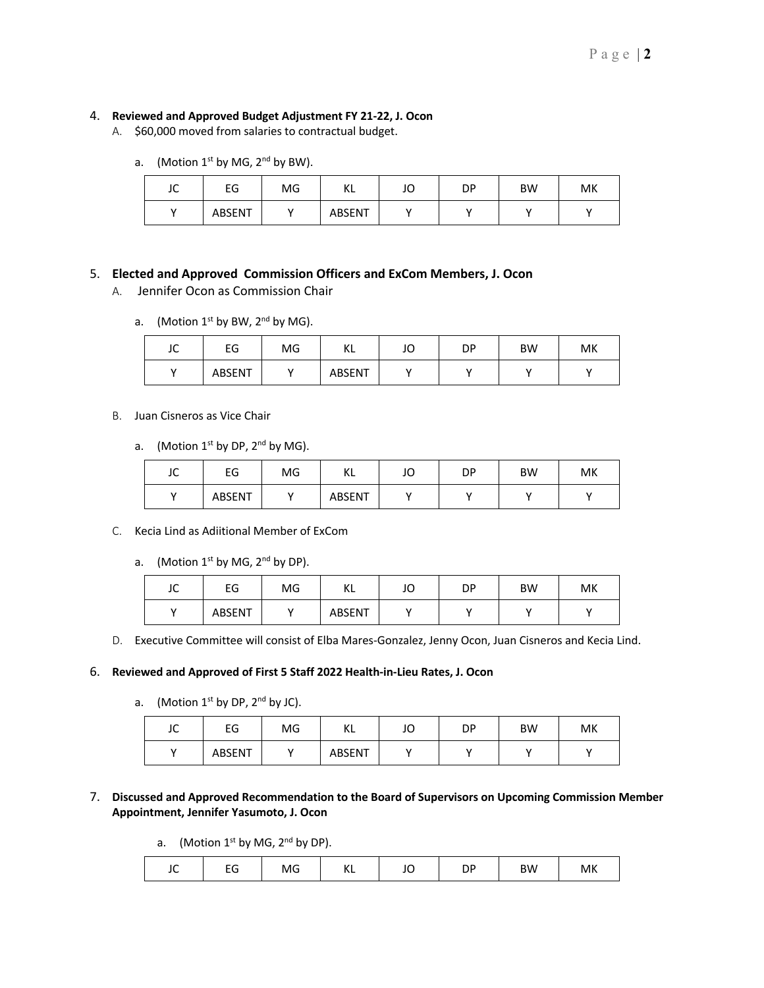# 4. **Reviewed and Approved Budget Adjustment FY 21-22, J. Ocon**

- A. \$60,000 moved from salaries to contractual budget.
	- a. (Motion  $1^{st}$  by MG,  $2^{nd}$  by BW).

| $\sqrt{ }$<br>JU | EG     | MG | M<br>n. | JO | DΡ | <b>BW</b> | MK |
|------------------|--------|----|---------|----|----|-----------|----|
|                  | ABSENT |    | ABSENT  |    |    |           |    |

# 5. **Elected and Approved Commission Officers and ExCom Members, J. Ocon**

- A. Jennifer Ocon as Commission Chair
	- a. (Motion  $1^{st}$  by BW,  $2^{nd}$  by MG).

| $\sim$<br>JU         | EG     | MG | VI<br>NL | JO | DΡ | <b>BW</b> | МK |
|----------------------|--------|----|----------|----|----|-----------|----|
| $\ddot{\phantom{0}}$ | ABSENT |    | ABSENT   |    |    |           |    |

### B. Juan Cisneros as Vice Chair

a. (Motion  $1^{st}$  by DP,  $2^{nd}$  by MG).

| $\sqrt{ }$<br>JU | EG     | MG | VI<br>NL | $\sqrt{ }$<br>JU | DP | <b>BW</b> | МK |
|------------------|--------|----|----------|------------------|----|-----------|----|
|                  | ABSENT |    | ABSENT   |                  |    |           |    |

- C. Kecia Lind as Adiitional Member of ExCom
	- a. (Motion  $1^{st}$  by MG,  $2^{nd}$  by DP).

| $\sqrt{2}$<br>JU | EG     | MG | ΚL     | JO | DP | <b>BW</b> | МK |
|------------------|--------|----|--------|----|----|-----------|----|
|                  | ABSENT |    | ABSENT |    |    |           |    |

D. Executive Committee will consist of Elba Mares-Gonzalez, Jenny Ocon, Juan Cisneros and Kecia Lind.

# 6. **Reviewed and Approved of First 5 Staff 2022 Health-in-Lieu Rates, J. Ocon**

a. (Motion  $1^{st}$  by DP,  $2^{nd}$  by JC).

| JC  | EG     | MG | VI<br>NL      | JO | DP | <b>BW</b> | МK |
|-----|--------|----|---------------|----|----|-----------|----|
| . . | ABSENT |    | <b>ABSENT</b> |    |    |           |    |

# 7. **Discussed and Approved Recommendation to the Board of Supervisors on Upcoming Commission Member Appointment, Jennifer Yasumoto, J. Ocon**

a. (Motion  $1^{st}$  by MG,  $2^{nd}$  by DP).

|  | --<br>-- | MG | 〃<br>n. | $\overline{\phantom{0}}$ | ◡<br>$ -$ | <b>BW</b> | МK |
|--|----------|----|---------|--------------------------|-----------|-----------|----|
|--|----------|----|---------|--------------------------|-----------|-----------|----|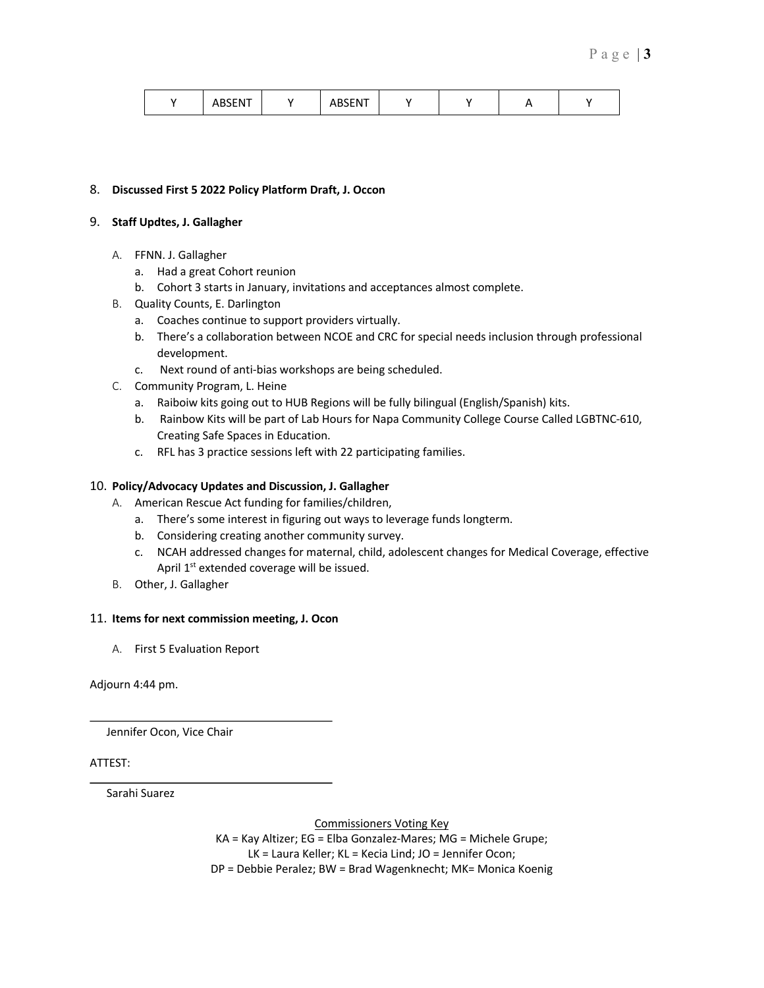|  | <b>ARSENT</b><br>HDJEIVI |  | DCENIT<br>⊢ I\I<br>~<br>$\mathbf{1}$ |  |  |  |  |
|--|--------------------------|--|--------------------------------------|--|--|--|--|
|--|--------------------------|--|--------------------------------------|--|--|--|--|

### 8. **Discussed First 5 2022 Policy Platform Draft, J. Occon**

### 9. **Staff Updtes, J. Gallagher**

- A. FFNN. J. Gallagher
	- a. Had a great Cohort reunion
	- b. Cohort 3 starts in January, invitations and acceptances almost complete.
- B. Quality Counts, E. Darlington
	- a. Coaches continue to support providers virtually.
	- b. There's a collaboration between NCOE and CRC for special needs inclusion through professional development.
	- c. Next round of anti-bias workshops are being scheduled.
- C. Community Program, L. Heine
	- a. Raiboiw kits going out to HUB Regions will be fully bilingual (English/Spanish) kits.
	- b. Rainbow Kits will be part of Lab Hours for Napa Community College Course Called LGBTNC-610, Creating Safe Spaces in Education.
	- c. RFL has 3 practice sessions left with 22 participating families.

# 10. **Policy/Advocacy Updates and Discussion, J. Gallagher**

- A. American Rescue Act funding for families/children,
	- a. There's some interest in figuring out ways to leverage funds longterm.
	- b. Considering creating another community survey.
	- c. NCAH addressed changes for maternal, child, adolescent changes for Medical Coverage, effective April 1<sup>st</sup> extended coverage will be issued.
- B. Other, J. Gallagher

#### 11. **Items for next commission meeting, J. Ocon**

A. First 5 Evaluation Report

Adjourn 4:44 pm.

Jennifer Ocon, Vice Chair

# ATTEST:

Sarahi Suarez

Commissioners Voting Key

KA = Kay Altizer; EG = Elba Gonzalez-Mares; MG = Michele Grupe; LK = Laura Keller; KL = Kecia Lind; JO = Jennifer Ocon; DP = Debbie Peralez; BW = Brad Wagenknecht; MK= Monica Koenig